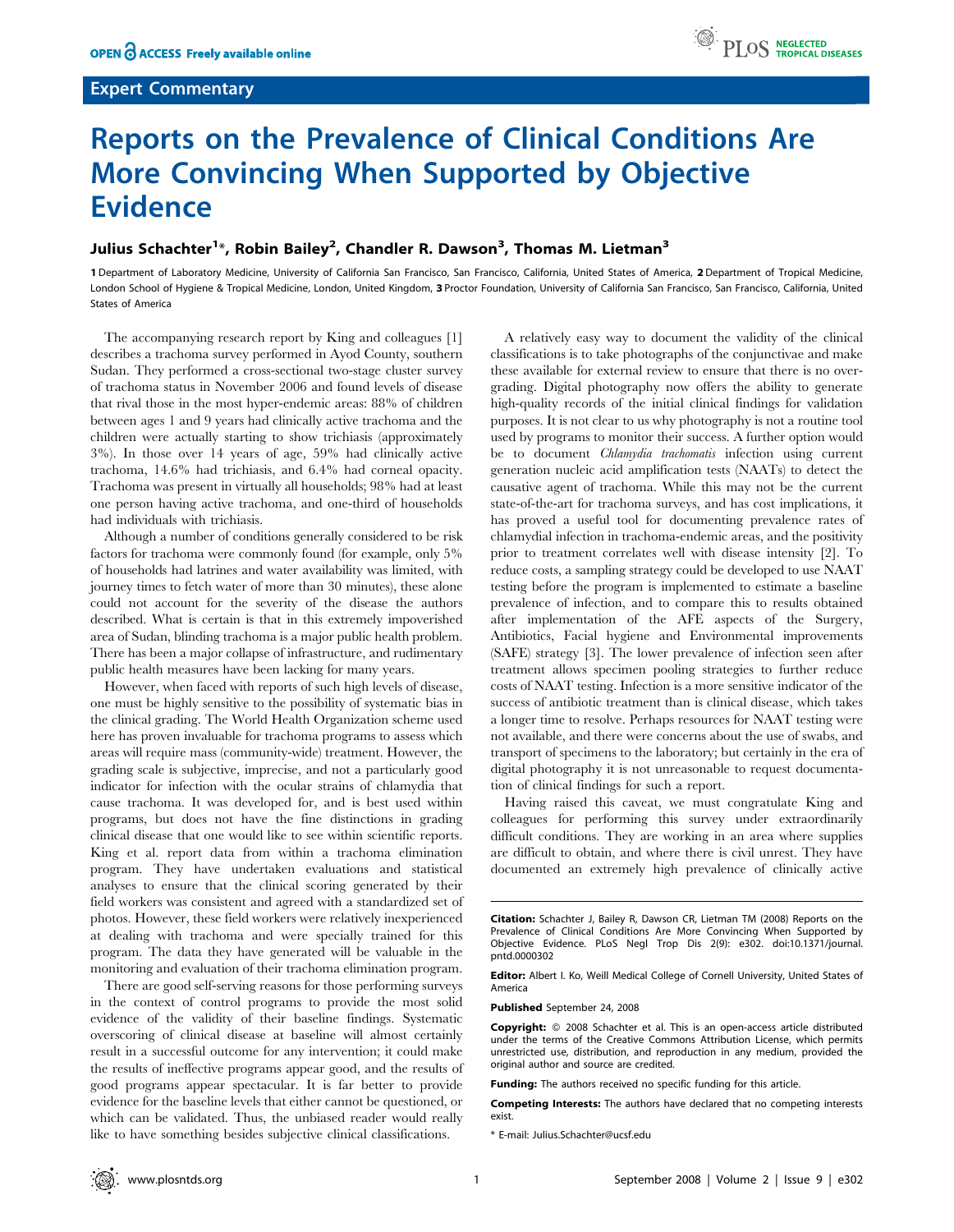## Expert Commentary



## Reports on the Prevalence of Clinical Conditions Are More Convincing When Supported by Objective **Evidence**

## Julius Schachter<sup>1</sup>\*, Robin Bailey<sup>2</sup>, Chandler R. Dawson<sup>3</sup>, Thomas M. Lietman<sup>3</sup>

1 Department of Laboratory Medicine, University of California San Francisco, San Francisco, California, United States of America, 2 Department of Tropical Medicine, London School of Hygiene & Tropical Medicine, London, United Kingdom, 3 Proctor Foundation, University of California San Francisco, San Francisco, California, United States of America

The accompanying research report by King and colleagues [1] describes a trachoma survey performed in Ayod County, southern Sudan. They performed a cross-sectional two-stage cluster survey of trachoma status in November 2006 and found levels of disease that rival those in the most hyper-endemic areas: 88% of children between ages 1 and 9 years had clinically active trachoma and the children were actually starting to show trichiasis (approximately 3%). In those over 14 years of age, 59% had clinically active trachoma, 14.6% had trichiasis, and 6.4% had corneal opacity. Trachoma was present in virtually all households; 98% had at least one person having active trachoma, and one-third of households had individuals with trichiasis.

Although a number of conditions generally considered to be risk factors for trachoma were commonly found (for example, only 5% of households had latrines and water availability was limited, with journey times to fetch water of more than 30 minutes), these alone could not account for the severity of the disease the authors described. What is certain is that in this extremely impoverished area of Sudan, blinding trachoma is a major public health problem. There has been a major collapse of infrastructure, and rudimentary public health measures have been lacking for many years.

However, when faced with reports of such high levels of disease, one must be highly sensitive to the possibility of systematic bias in the clinical grading. The World Health Organization scheme used here has proven invaluable for trachoma programs to assess which areas will require mass (community-wide) treatment. However, the grading scale is subjective, imprecise, and not a particularly good indicator for infection with the ocular strains of chlamydia that cause trachoma. It was developed for, and is best used within programs, but does not have the fine distinctions in grading clinical disease that one would like to see within scientific reports. King et al. report data from within a trachoma elimination program. They have undertaken evaluations and statistical analyses to ensure that the clinical scoring generated by their field workers was consistent and agreed with a standardized set of photos. However, these field workers were relatively inexperienced at dealing with trachoma and were specially trained for this program. The data they have generated will be valuable in the monitoring and evaluation of their trachoma elimination program.

There are good self-serving reasons for those performing surveys in the context of control programs to provide the most solid evidence of the validity of their baseline findings. Systematic overscoring of clinical disease at baseline will almost certainly result in a successful outcome for any intervention; it could make the results of ineffective programs appear good, and the results of good programs appear spectacular. It is far better to provide evidence for the baseline levels that either cannot be questioned, or which can be validated. Thus, the unbiased reader would really like to have something besides subjective clinical classifications.

A relatively easy way to document the validity of the clinical classifications is to take photographs of the conjunctivae and make these available for external review to ensure that there is no overgrading. Digital photography now offers the ability to generate high-quality records of the initial clinical findings for validation purposes. It is not clear to us why photography is not a routine tool used by programs to monitor their success. A further option would be to document *Chlamydia trachomatis* infection using current generation nucleic acid amplification tests (NAATs) to detect the causative agent of trachoma. While this may not be the current state-of-the-art for trachoma surveys, and has cost implications, it has proved a useful tool for documenting prevalence rates of chlamydial infection in trachoma-endemic areas, and the positivity prior to treatment correlates well with disease intensity [2]. To reduce costs, a sampling strategy could be developed to use NAAT testing before the program is implemented to estimate a baseline prevalence of infection, and to compare this to results obtained after implementation of the AFE aspects of the Surgery, Antibiotics, Facial hygiene and Environmental improvements (SAFE) strategy [3]. The lower prevalence of infection seen after treatment allows specimen pooling strategies to further reduce costs of NAAT testing. Infection is a more sensitive indicator of the success of antibiotic treatment than is clinical disease, which takes a longer time to resolve. Perhaps resources for NAAT testing were not available, and there were concerns about the use of swabs, and transport of specimens to the laboratory; but certainly in the era of digital photography it is not unreasonable to request documentation of clinical findings for such a report.

Having raised this caveat, we must congratulate King and colleagues for performing this survey under extraordinarily difficult conditions. They are working in an area where supplies are difficult to obtain, and where there is civil unrest. They have documented an extremely high prevalence of clinically active

Editor: Albert I. Ko, Weill Medical College of Cornell University, United States of America

Published September 24, 2008

Competing Interests: The authors have declared that no competing interests exist.

Citation: Schachter J, Bailey R, Dawson CR, Lietman TM (2008) Reports on the Prevalence of Clinical Conditions Are More Convincing When Supported by Objective Evidence. PLoS Negl Trop Dis 2(9): e302. doi:10.1371/journal. pntd.0000302

Copyright:  $© 2008 Schachter et al. This is an open-access article distributed$ under the terms of the Creative Commons Attribution License, which permits unrestricted use, distribution, and reproduction in any medium, provided the original author and source are credited.

Funding: The authors received no specific funding for this article.

<sup>\*</sup> E-mail: Julius.Schachter@ucsf.edu